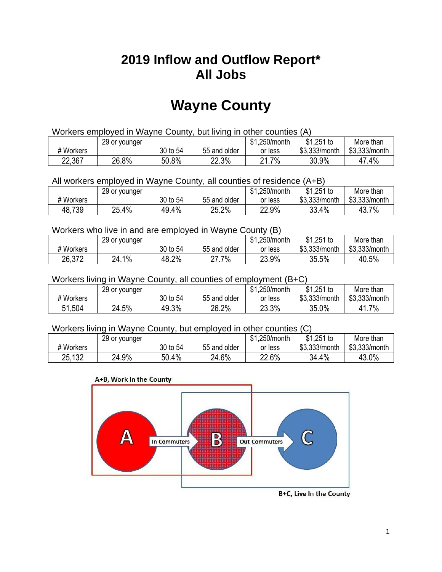## **2019 Inflow and Outflow Report\* All Jobs**

# **Wayne County**

| Workers employed in Wayne County, but living in other counties (A) |                                                           |          |              |         |               |               |  |  |  |
|--------------------------------------------------------------------|-----------------------------------------------------------|----------|--------------|---------|---------------|---------------|--|--|--|
|                                                                    | \$1.251 to<br>\$1.250/month<br>More than<br>29 or younger |          |              |         |               |               |  |  |  |
| # Workers                                                          |                                                           | 30 to 54 | 55 and older | or less | \$3.333/month | \$3.333/month |  |  |  |
| 22,367                                                             | 26.8%                                                     | 50.8%    | 22.3%        | 21.7%   | 30.9%         | 47.4%         |  |  |  |

All workers employed in Wayne County, all counties of residence (A+B)

|           | 29 or younger |          |              | \$1,250/month | \$1,251 to    | More than     |
|-----------|---------------|----------|--------------|---------------|---------------|---------------|
| # Workers |               | 30 to 54 | 55 and older | or less       | \$3,333/month | \$3,333/month |
| 48,739    | 25.4%         | 49.4%    | 25.2%        | 22.9%         | 33.4%         | 43.7%         |

#### Workers who live in and are employed in Wayne County (B)

|           | 29 or younger |          |              | \$1,250/month | $$1,251$ to   | More than     |
|-----------|---------------|----------|--------------|---------------|---------------|---------------|
| # Workers |               | 30 to 54 | 55 and older | or less       | \$3,333/month | \$3,333/month |
| 26,372    | 24.1%         | 48.2%    | .7%<br>דר    | 23.9%         | 35.5%         | 40.5%         |

#### Workers living in Wayne County, all counties of employment (B+C)

|           | 29 or younger |          |              | \$1,250/month | \$1,251 to    | More than     |
|-----------|---------------|----------|--------------|---------------|---------------|---------------|
| # Workers |               | 30 to 54 | 55 and older | or less       | \$3,333/month | \$3,333/month |
| 51,504    | 24.5%         | 49.3%    | 26.2%        | 23.3%         | 35.0%         | 41.7%         |

#### Workers living in Wayne County, but employed in other counties (C)

|           | 29 or younger |          |              | \$1,250/month | $$1,251$ to   | More than     |
|-----------|---------------|----------|--------------|---------------|---------------|---------------|
| # Workers |               | 30 to 54 | 55 and older | or less       | \$3,333/month | \$3,333/month |
| 25,132    | 24.9%         | 50.4%    | 24.6%        | 22.6%         | 34.4%         | 43.0%         |

#### A+B, Work In the County